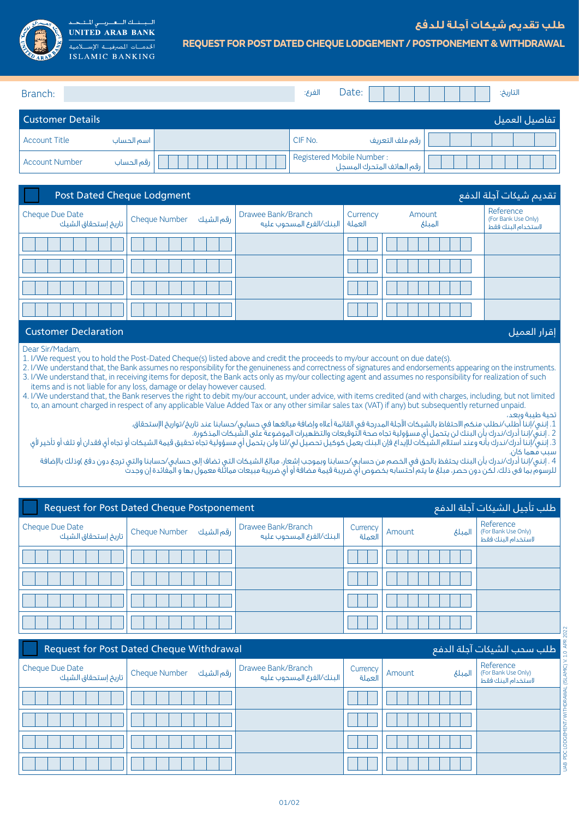

## **REQUEST FOR POST DATED CHEQUE LODGEMENT / POSTPONEMENT & WITHDRAWAL**

| Branch:                 |            | الفرع:                    | Date: |                           |  | التاريخ: |                |
|-------------------------|------------|---------------------------|-------|---------------------------|--|----------|----------------|
| <b>Customer Details</b> |            |                           |       |                           |  |          | _تفاصيل العميل |
| <b>Account Title</b>    | اسم الحساب | CIF No.                   |       | رقم ملف التعريف           |  |          |                |
| <b>Account Number</b>   | رقم الحساب | Registered Mobile Number: |       | رقم الهاتف المتحرك المسجل |  |          |                |

| تقديم شيكات آجلة الدفع<br><b>Post Dated Cheque Lodgment</b> |                                                          |                                                         |          |                  |                                                        |  |
|-------------------------------------------------------------|----------------------------------------------------------|---------------------------------------------------------|----------|------------------|--------------------------------------------------------|--|
| Cheque Due Date                                             | رقم الشيك<br>م الشيك Cheque Number   تاريخ إستحقاق الشيك | Drawee Bank/Branch<br>العملة   البنك/الفرع المسحوب عليه | Currency | Amount<br>المبلغ | Reference<br>(For Bank Use Only)<br>لاستخدام البنك فقط |  |
|                                                             |                                                          |                                                         |          |                  |                                                        |  |
|                                                             |                                                          |                                                         |          |                  |                                                        |  |
|                                                             |                                                          |                                                         |          |                  |                                                        |  |
|                                                             |                                                          |                                                         |          |                  |                                                        |  |

## إقرار العميل Declaration Customer

## Dear Sir/Madam,

1. I/We request you to hold the Post-Dated Cheque(s) listed above and credit the proceeds to my/our account on due date(s).

2. I/We understand that, the Bank assumes no responsibility for the genuineness and correctness of signatures and endorsements appearing on the instruments. 3. I/We understand that, in receiving items for deposit, the Bank acts only as my/our collecting agent and assumes no responsibility for realization of such items and is not liable for any loss, damage or delay however caused.

4. I/We understand that, the Bank reserves the right to debit my/our account, under advice, with items credited (and with charges, including, but not limited to, an amount charged in respect of any applicable Value Added Tax or any other similar sales tax (VAT) if any) but subsequently returned unpaid.

## تحية طيبة وبعد،

.1 إنني/إننا أطلب/نطلب منكم االحتفاظ بالشيكات اآلجلة المدرجة في القائمة أعاله وإضافة مبالغها في حسابي/حسابنا عند تاريخ/تواريخ اإلستحقاق.

2 . إنني/إننا أدرك/ندرك بأن البنك لن يتحمل أي مسؤولية تجاه صحة التوقيعات والتظهيرات الموضوعة على الشيكات المذكورة.

3. إنني/إننا أدرك/ندرك بأنه وعند استالم الشيكات للإيداع فإن البنك يعمل كوكيل تحصيل لي/لنا ولن يتحمل أي مسؤولية تجاه تحقيق قيمة الشيكات أو تجاه أي فقدان أو تلف أو تلف أو تلف أو تجاه أي فقدان أو تلف أو تلف أو تلف أو تأخير لأ سبب مُهما كان.

.<br>4 . إنني/إننا أدرك/ندرك بأن البنك يحتفظ بالحق في الخصم من حسابي/حسابنا وبموجب إشعار، مبالغ الشيكات التي تضاف إلى حسابي/حسابنا والتي ترجع دون دفع )وذلك بالإضافة للرسوم بما فى ذلك، لكن دون حصر، مبلغ ما يتم احتسابه بخصوص أي ضريبة قيمة مضافة أو أي ضريبة مبيعات مماثلة معمول بها و المفائدة إن وجدت

| ً طلب تأجيل الشيكات آجلة الدفع <mark>ا</mark><br><b>Request for Post Dated Cheque Postponement</b> |                           |                                                  |                    |        |         |                                                        |
|----------------------------------------------------------------------------------------------------|---------------------------|--------------------------------------------------|--------------------|--------|---------|--------------------------------------------------------|
| Cheque Due Date<br>  تاريخ إستحقاق الشيك                                                           | رقم الشيك   Cheque Number | Drawee Bank/Branch<br>أ البنك/الغرع المسحوب عليه | Currency<br>العملة | Amount | المتلئم | Reference<br>(For Bank Use Only)<br>لاستخدام البنك فقط |
|                                                                                                    |                           |                                                  |                    |        |         |                                                        |
|                                                                                                    |                           |                                                  |                    |        |         |                                                        |
|                                                                                                    |                           |                                                  |                    |        |         |                                                        |
|                                                                                                    |                           |                                                  |                    |        |         |                                                        |

|                                                                               |                             |                                                | the country of the country of the country |                  |                                                                       |  |  |
|-------------------------------------------------------------------------------|-----------------------------|------------------------------------------------|-------------------------------------------|------------------|-----------------------------------------------------------------------|--|--|
| طلب سحب الشيكات آجلة الدفع<br><b>Request for Post Dated Cheque Withdrawal</b> |                             |                                                |                                           |                  |                                                                       |  |  |
| Cheque Due Date<br>أ تاريخ إستحقاق الشيك                                      | رقم الشيك     Cheque Number | Drawee Bank/Branch<br>البنك/الغرع المسحوب عليه | Currency<br>العملة                        | Amount<br>المبلغ | Reference<br>. (ISLAMIC)<br>(For Bank Use Only)<br>لاستخدام البنك فقط |  |  |
|                                                                               |                             |                                                |                                           |                  | <b>IDRAW</b>                                                          |  |  |
|                                                                               |                             |                                                |                                           |                  | ENT/                                                                  |  |  |
|                                                                               |                             |                                                |                                           |                  |                                                                       |  |  |
|                                                                               |                             |                                                |                                           |                  | 윤<br>$\frac{9}{2}$                                                    |  |  |